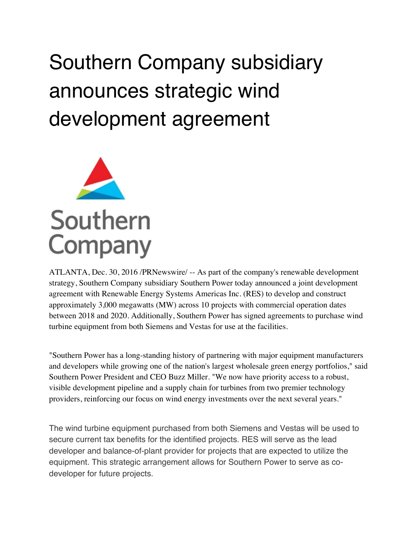## Southern Company subsidiary announces strategic wind development agreement



ATLANTA, Dec. 30, 2016 /PRNewswire/ -- As part of the company's renewable development strategy, Southern Company subsidiary Southern Power today announced a joint development agreement with Renewable Energy Systems Americas Inc. (RES) to develop and construct approximately 3,000 megawatts (MW) across 10 projects with commercial operation dates between 2018 and 2020. Additionally, Southern Power has signed agreements to purchase wind turbine equipment from both Siemens and Vestas for use at the facilities.

"Southern Power has a long-standing history of partnering with major equipment manufacturers and developers while growing one of the nation's largest wholesale green energy portfolios," said Southern Power President and CEO Buzz Miller. "We now have priority access to a robust, visible development pipeline and a supply chain for turbines from two premier technology providers, reinforcing our focus on wind energy investments over the next several years."

The wind turbine equipment purchased from both Siemens and Vestas will be used to secure current tax benefits for the identified projects. RES will serve as the lead developer and balance-of-plant provider for projects that are expected to utilize the equipment. This strategic arrangement allows for Southern Power to serve as codeveloper for future projects.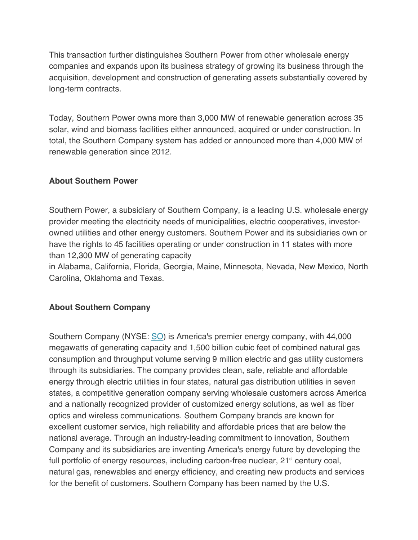This transaction further distinguishes Southern Power from other wholesale energy companies and expands upon its business strategy of growing its business through the acquisition, development and construction of generating assets substantially covered by long-term contracts.

Today, Southern Power owns more than 3,000 MW of renewable generation across 35 solar, wind and biomass facilities either announced, acquired or under construction. In total, the Southern Company system has added or announced more than 4,000 MW of renewable generation since 2012.

## **About Southern Power**

Southern Power, a subsidiary of Southern Company, is a leading U.S. wholesale energy provider meeting the electricity needs of municipalities, electric cooperatives, investorowned utilities and other energy customers. Southern Power and its subsidiaries own or have the rights to 45 facilities operating or under construction in 11 states with more than 12,300 MW of generating capacity

in Alabama, California, Florida, Georgia, Maine, Minnesota, Nevada, New Mexico, North Carolina, Oklahoma and Texas.

## **About Southern Company**

Southern Company (NYSE: SO) is America's premier energy company, with 44,000 megawatts of generating capacity and 1,500 billion cubic feet of combined natural gas consumption and throughput volume serving 9 million electric and gas utility customers through its subsidiaries. The company provides clean, safe, reliable and affordable energy through electric utilities in four states, natural gas distribution utilities in seven states, a competitive generation company serving wholesale customers across America and a nationally recognized provider of customized energy solutions, as well as fiber optics and wireless communications. Southern Company brands are known for excellent customer service, high reliability and affordable prices that are below the national average. Through an industry-leading commitment to innovation, Southern Company and its subsidiaries are inventing America's energy future by developing the full portfolio of energy resources, including carbon-free nuclear,  $21<sup>st</sup>$  century coal, natural gas, renewables and energy efficiency, and creating new products and services for the benefit of customers. Southern Company has been named by the U.S.